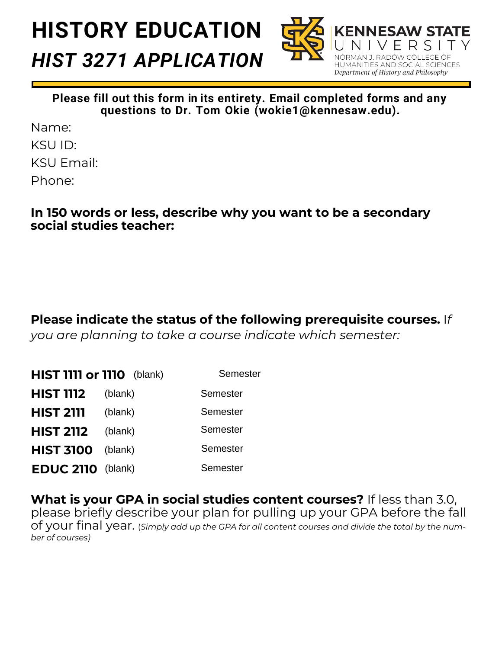# **HISTORY EDUCATION** *HIST 3271 APPLICATION*



**Please fill out this form in its entirety. Email completed forms and any questions to Dr. Tom Okie (wokie1@kennesaw.edu).** 

Name: KSU ID: KSU Email: Phone:

#### **In 150 words or less, describe why you want to be a secondary social studies teacher:**

**Please indicate the status of the following prerequisite courses.** I*f you are planning to take a course indicate which semester:* 

| <b>HIST 1111 or 1110</b> (blank) |         | Semester        |
|----------------------------------|---------|-----------------|
| <b>HIST 1112</b>                 | (blank) | Semester        |
| <b>HIST 2111</b>                 | (blank) | Semester        |
| <b>HIST 2112</b>                 | (blank) | Semester        |
| <b>HIST 3100</b>                 | (blank) | <b>Semester</b> |
| <b>EDUC 2110</b> (blank)         |         | Semester        |

**What is your GPA in social studies content courses?** If less than 3.0, please briefly describe your plan for pulling up your GPA before the fall of your final year. (*Simply add up the GPA for all content courses and divide the total by the number of courses)*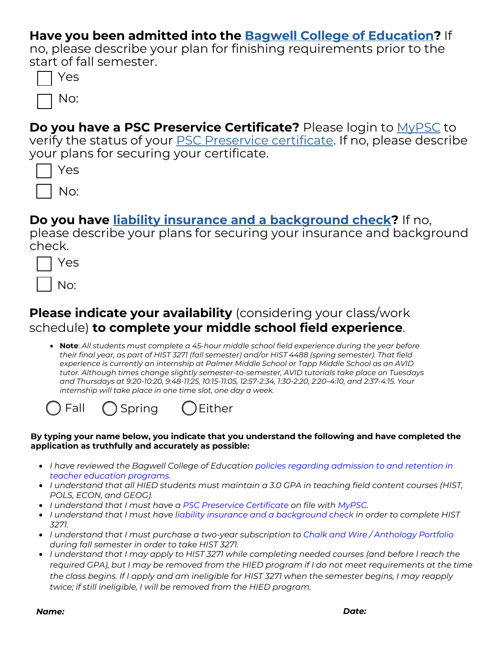#### **Have you been admitted into the Bagwell College of [Education?](https://bagwell.kennesaw.edu/policies/index.php)** If

no, please describe your plan for finishing requirements prior to the start of fall semester.

|--|

**Do you have a PSC Preservice Certificate?** Please login to [MyPSC](https://mypsc.gapsc.org/Login.aspx) to verify the status of your PSC [Preservice](https://bagwell.kennesaw.edu/units/ess/about/pre-service-certification.php) certificate. If no, please describe your plans for securing your certificate.

| S<br>≏ |
|--------|
| No:    |

#### **Do you have [liability insurance and a background check?](https://bagwell.kennesaw.edu/units/cepp/background-checks.php)** If no,

please describe your plans for securing your insurance and background check.

| S<br>⊢ |
|--------|
| JO:    |

### **Please indicate your availability** (considering your class/work schedule) **to complete your middle school field experience**.

• **Note**: *All students must complete a 45-hour middle school field experience during the year before their final year, as part of HIST 3271 (fall semester) and/or HIST 4488 (spring semester). That field experience is currently an internship at Palmer Middle School or Tapp Middle School as an AVID tutor. Although times change slightly semester-to-semester, AVID tutorials take place on Tuesdays and Thursdays at 9:20-10:20, 9:48-11:25, 10:15-11:05, 12:57-2:34, 1:30-2:20, 2:20–4:10, and 2:37-4:15. Your internship will take place in one time slot, one day a week.*



#### **By typing your name below, you indicate that you understand the following and have completed the application as truthfully and accurately as possible:**

- *[I have reviewed the Bagwell College of Education](https://bagwell.kennesaw.edu/policies/index.php) policies regarding admission to and retention in teacher education programs.*
- *I understand that all HIED students must maintain a 3.0 GPA in teaching field content courses (HIST, POLS, ECON, and GEOG).*
- *I understand that I must have a [PSC Preservice Certificate](https://bagwell.kennesaw.edu/units/ess/about/pre-service-certification.php) on file with [MyPSC.](https://mypsc.gapsc.org/Login.aspx)*
- *I understand that I must have [liability insurance and a background check](https://bagwell.kennesaw.edu/units/cepp/background-checks.php) in order to complete HIST 3271.*
- *I understand that I must purchase a two-year subscription to [Chalk and Wire / Anthology Portfolio](https://bagwell.kennesaw.edu/about/chalk-and-wire.php) during fall semester in order to take HIST 3271.*
- *I understand that I may apply to HIST 3271 while completing needed courses (and before I reach the required GPA), but I may be removed from the HIED program if I do not meet requirements at the time the class begins. If I apply and am ineligible for HIST 3271 when the semester begins, I may reapply twice; if still ineligible, I will be removed from the HIED program.*